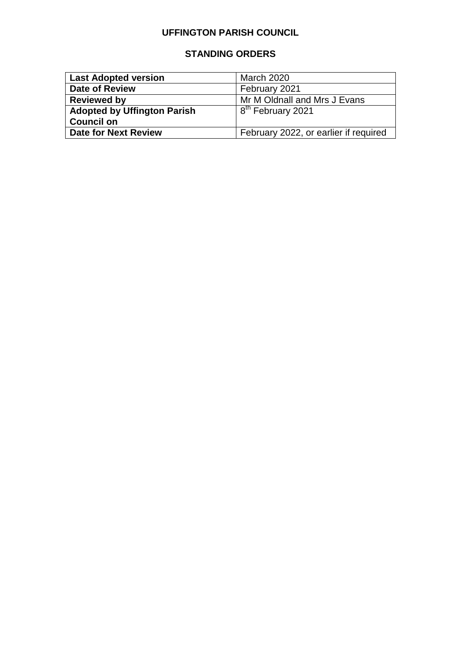# **UFFINGTON PARISH COUNCIL**

# **STANDING ORDERS**

| <b>Last Adopted version</b>                                          | <b>March 2020</b>             |
|----------------------------------------------------------------------|-------------------------------|
| <b>Date of Review</b>                                                | February 2021                 |
| <b>Reviewed by</b>                                                   | Mr M Oldnall and Mrs J Evans  |
| <b>Adopted by Uffington Parish</b>                                   | 8 <sup>th</sup> February 2021 |
| <b>Council on</b>                                                    |                               |
| <b>Date for Next Review</b><br>February 2022, or earlier if required |                               |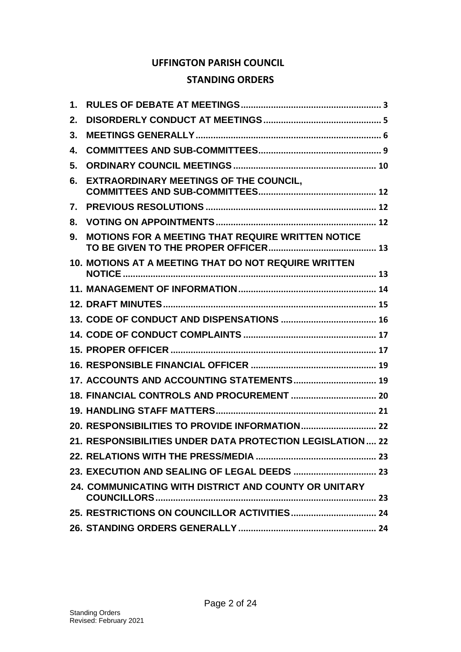# **UFFINGTON PARISH COUNCIL**

# **STANDING ORDERS**

| 1. |                                                             |
|----|-------------------------------------------------------------|
| 2. |                                                             |
| 3. |                                                             |
| 4. |                                                             |
| 5. |                                                             |
| 6. | EXTRAORDINARY MEETINGS OF THE COUNCIL,                      |
| 7. |                                                             |
| 8. |                                                             |
| 9. | MOTIONS FOR A MEETING THAT REQUIRE WRITTEN NOTICE           |
|    | <b>10. MOTIONS AT A MEETING THAT DO NOT REQUIRE WRITTEN</b> |
|    |                                                             |
|    |                                                             |
|    |                                                             |
|    |                                                             |
|    |                                                             |
|    |                                                             |
|    | 17. ACCOUNTS AND ACCOUNTING STATEMENTS 19                   |
|    |                                                             |
|    |                                                             |
|    |                                                             |
|    | 21. RESPONSIBILITIES UNDER DATA PROTECTION LEGISLATION 22   |
|    |                                                             |
|    |                                                             |
|    | 24. COMMUNICATING WITH DISTRICT AND COUNTY OR UNITARY       |
|    |                                                             |
|    |                                                             |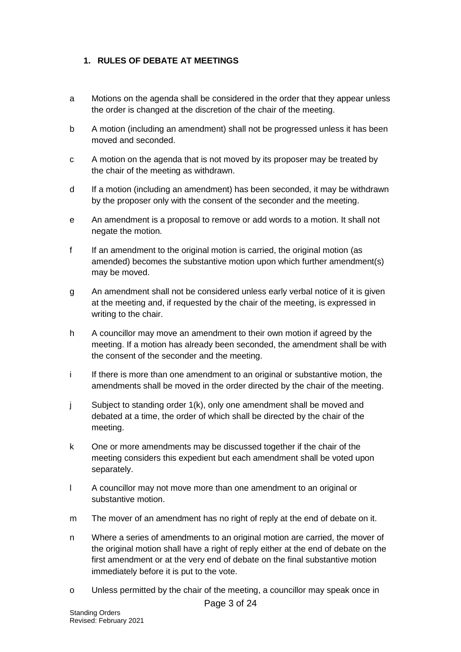### <span id="page-2-0"></span>**1. RULES OF DEBATE AT MEETINGS**

- a Motions on the agenda shall be considered in the order that they appear unless the order is changed at the discretion of the chair of the meeting.
- b A motion (including an amendment) shall not be progressed unless it has been moved and seconded.
- c A motion on the agenda that is not moved by its proposer may be treated by the chair of the meeting as withdrawn.
- d If a motion (including an amendment) has been seconded, it may be withdrawn by the proposer only with the consent of the seconder and the meeting.
- e An amendment is a proposal to remove or add words to a motion. It shall not negate the motion.
- f If an amendment to the original motion is carried, the original motion (as amended) becomes the substantive motion upon which further amendment(s) may be moved.
- g An amendment shall not be considered unless early verbal notice of it is given at the meeting and, if requested by the chair of the meeting, is expressed in writing to the chair.
- h A councillor may move an amendment to their own motion if agreed by the meeting. If a motion has already been seconded, the amendment shall be with the consent of the seconder and the meeting.
- i If there is more than one amendment to an original or substantive motion, the amendments shall be moved in the order directed by the chair of the meeting.
- j Subject to standing order 1(k), only one amendment shall be moved and debated at a time, the order of which shall be directed by the chair of the meeting.
- k One or more amendments may be discussed together if the chair of the meeting considers this expedient but each amendment shall be voted upon separately.
- l A councillor may not move more than one amendment to an original or substantive motion.
- m The mover of an amendment has no right of reply at the end of debate on it.
- n Where a series of amendments to an original motion are carried, the mover of the original motion shall have a right of reply either at the end of debate on the first amendment or at the very end of debate on the final substantive motion immediately before it is put to the vote.
- o Unless permitted by the chair of the meeting, a councillor may speak once in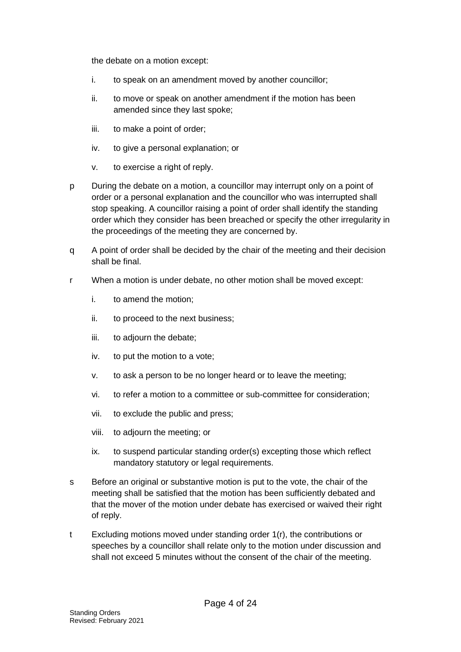the debate on a motion except:

- i. to speak on an amendment moved by another councillor;
- ii. to move or speak on another amendment if the motion has been amended since they last spoke;
- iii. to make a point of order;
- iv. to give a personal explanation; or
- v. to exercise a right of reply.
- p During the debate on a motion, a councillor may interrupt only on a point of order or a personal explanation and the councillor who was interrupted shall stop speaking. A councillor raising a point of order shall identify the standing order which they consider has been breached or specify the other irregularity in the proceedings of the meeting they are concerned by.
- q A point of order shall be decided by the chair of the meeting and their decision shall be final.
- r When a motion is under debate, no other motion shall be moved except:
	- i. to amend the motion;
	- ii. to proceed to the next business;
	- iii. to adjourn the debate;
	- iv. to put the motion to a vote;
	- v. to ask a person to be no longer heard or to leave the meeting;
	- vi. to refer a motion to a committee or sub-committee for consideration;
	- vii. to exclude the public and press;
	- viii. to adjourn the meeting; or
	- ix. to suspend particular standing order(s) excepting those which reflect mandatory statutory or legal requirements.
- s Before an original or substantive motion is put to the vote, the chair of the meeting shall be satisfied that the motion has been sufficiently debated and that the mover of the motion under debate has exercised or waived their right of reply.
- t Excluding motions moved under standing order 1(r), the contributions or speeches by a councillor shall relate only to the motion under discussion and shall not exceed 5 minutes without the consent of the chair of the meeting.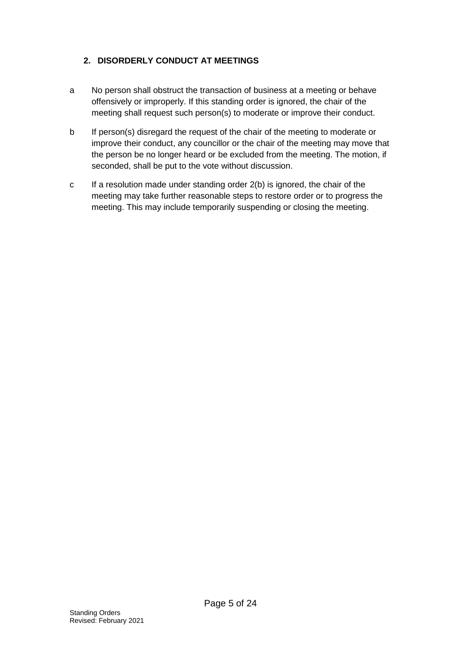# <span id="page-4-0"></span>**2. DISORDERLY CONDUCT AT MEETINGS**

- a No person shall obstruct the transaction of business at a meeting or behave offensively or improperly. If this standing order is ignored, the chair of the meeting shall request such person(s) to moderate or improve their conduct.
- b If person(s) disregard the request of the chair of the meeting to moderate or improve their conduct, any councillor or the chair of the meeting may move that the person be no longer heard or be excluded from the meeting. The motion, if seconded, shall be put to the vote without discussion.
- c If a resolution made under standing order 2(b) is ignored, the chair of the meeting may take further reasonable steps to restore order or to progress the meeting. This may include temporarily suspending or closing the meeting.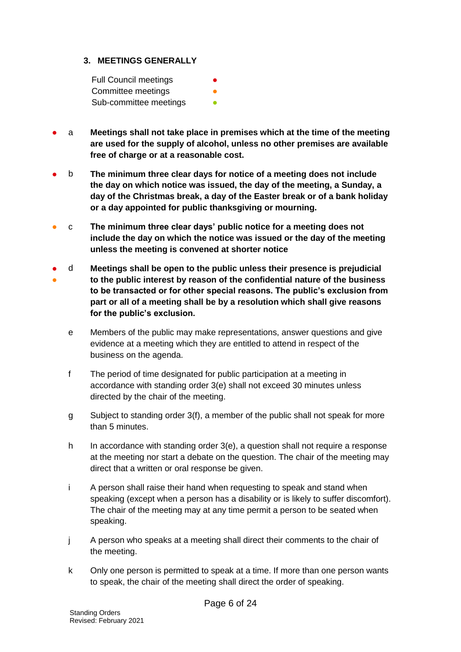#### <span id="page-5-0"></span>**3. MEETINGS GENERALLY**

| <b>Full Council meetings</b> | ● |
|------------------------------|---|
| Committee meetings           |   |
| Sub-committee meetings       |   |

- a **Meetings shall not take place in premises which at the time of the meeting are used for the supply of alcohol, unless no other premises are available free of charge or at a reasonable cost.**
- b **The minimum three clear days for notice of a meeting does not include the day on which notice was issued, the day of the meeting, a Sunday, a day of the Christmas break, a day of the Easter break or of a bank holiday or a day appointed for public thanksgiving or mourning.**
- c **The minimum three clear days' public notice for a meeting does not include the day on which the notice was issued or the day of the meeting unless the meeting is convened at shorter notice**
- ● d **Meetings shall be open to the public unless their presence is prejudicial to the public interest by reason of the confidential nature of the business** 
	- **to be transacted or for other special reasons. The public's exclusion from part or all of a meeting shall be by a resolution which shall give reasons for the public's exclusion.**
		- e Members of the public may make representations, answer questions and give evidence at a meeting which they are entitled to attend in respect of the business on the agenda.
		- f The period of time designated for public participation at a meeting in accordance with standing order 3(e) shall not exceed 30 minutes unless directed by the chair of the meeting.
		- g Subject to standing order 3(f), a member of the public shall not speak for more than 5 minutes.
		- h In accordance with standing order 3(e), a question shall not require a response at the meeting nor start a debate on the question. The chair of the meeting may direct that a written or oral response be given.
		- i A person shall raise their hand when requesting to speak and stand when speaking (except when a person has a disability or is likely to suffer discomfort). The chair of the meeting may at any time permit a person to be seated when speaking.
		- j A person who speaks at a meeting shall direct their comments to the chair of the meeting.
		- k Only one person is permitted to speak at a time. If more than one person wants to speak, the chair of the meeting shall direct the order of speaking.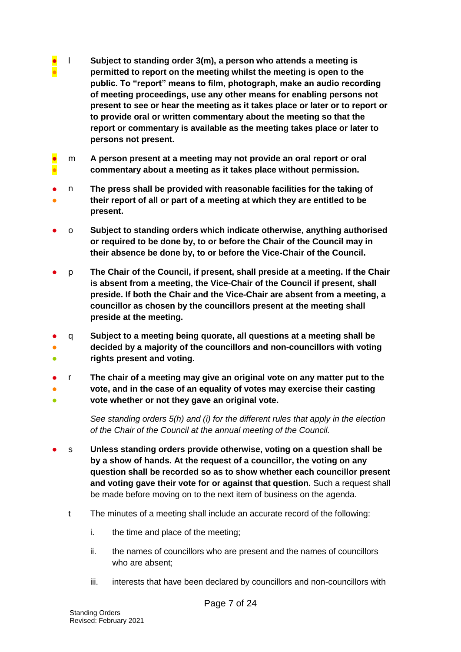- **● ●** l **Subject to standing order 3(m), a person who attends a meeting is permitted to report on the meeting whilst the meeting is open to the public. To "report" means to film, photograph, make an audio recording of meeting proceedings, use any other means for enabling persons not present to see or hear the meeting as it takes place or later or to report or to provide oral or written commentary about the meeting so that the report or commentary is available as the meeting takes place or later to persons not present.**
- ● m **A person present at a meeting may not provide an oral report or oral commentary about a meeting as it takes place without permission.**
- ● n **The press shall be provided with reasonable facilities for the taking of their report of all or part of a meeting at which they are entitled to be present.**
- o **Subject to standing orders which indicate otherwise, anything authorised or required to be done by, to or before the Chair of the Council may in their absence be done by, to or before the Vice-Chair of the Council.**
- p **The Chair of the Council, if present, shall preside at a meeting. If the Chair is absent from a meeting, the Vice-Chair of the Council if present, shall preside. If both the Chair and the Vice-Chair are absent from a meeting, a councillor as chosen by the councillors present at the meeting shall preside at the meeting.**
- q **Subject to a meeting being quorate, all questions at a meeting shall be**
- ● **decided by a majority of the councillors and non-councillors with voting rights present and voting.**
- r **The chair of a meeting may give an original vote on any matter put to the**
- ● **vote, and in the case of an equality of votes may exercise their casting vote whether or not they gave an original vote.**

*See standing orders 5(h) and (i) for the different rules that apply in the election of the Chair of the Council at the annual meeting of the Council.*

- s **Unless standing orders provide otherwise, voting on a question shall be by a show of hands. At the request of a councillor, the voting on any question shall be recorded so as to show whether each councillor present and voting gave their vote for or against that question.** Such a request shall be made before moving on to the next item of business on the agenda.
	- t The minutes of a meeting shall include an accurate record of the following:
		- i. the time and place of the meeting;
		- ii. the names of councillors who are present and the names of councillors who are absent;
		- iii. interests that have been declared by councillors and non-councillors with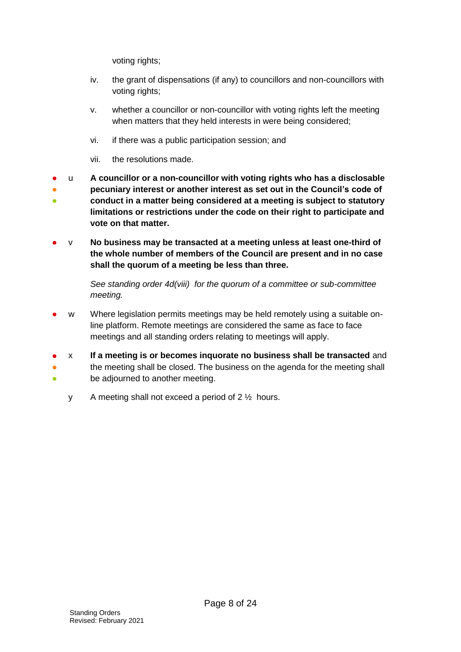voting rights;

- iv. the grant of dispensations (if any) to councillors and non-councillors with voting rights;
- v. whether a councillor or non-councillor with voting rights left the meeting when matters that they held interests in were being considered;
- vi. if there was a public participation session; and
- vii. the resolutions made.

● ● ● u **A councillor or a non-councillor with voting rights who has a disclosable pecuniary interest or another interest as set out in the Council's code of conduct in a matter being considered at a meeting is subject to statutory limitations or restrictions under the code on their right to participate and vote on that matter.**

● v **No business may be transacted at a meeting unless at least one-third of the whole number of members of the Council are present and in no case shall the quorum of a meeting be less than three.**

> *See standing order 4d(viii) for the quorum of a committee or sub-committee meeting.*

- w Where legislation permits meetings may be held remotely using a suitable online platform. Remote meetings are considered the same as face to face meetings and all standing orders relating to meetings will apply.
- x **If a meeting is or becomes inquorate no business shall be transacted** and
- the meeting shall be closed. The business on the agenda for the meeting shall
- be adjourned to another meeting.
	- y A meeting shall not exceed a period of 2 ½ hours.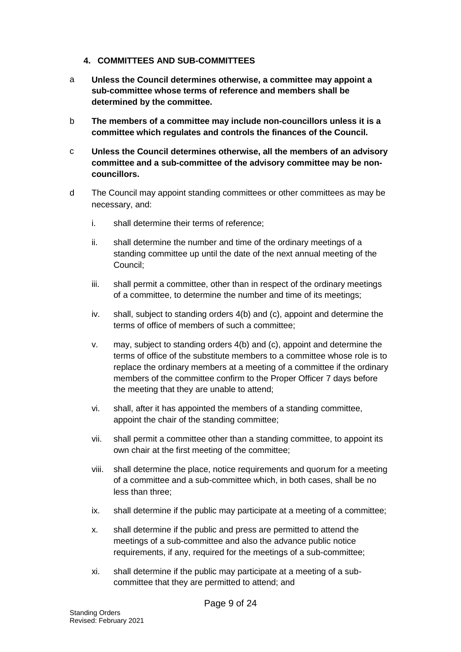#### <span id="page-8-0"></span>**4. COMMITTEES AND SUB-COMMITTEES**

- a **Unless the Council determines otherwise, a committee may appoint a sub-committee whose terms of reference and members shall be determined by the committee.**
- b **The members of a committee may include non-councillors unless it is a committee which regulates and controls the finances of the Council.**
- c **Unless the Council determines otherwise, all the members of an advisory committee and a sub-committee of the advisory committee may be noncouncillors.**
- d The Council may appoint standing committees or other committees as may be necessary, and:
	- i. shall determine their terms of reference;
	- ii. shall determine the number and time of the ordinary meetings of a standing committee up until the date of the next annual meeting of the Council;
	- iii. shall permit a committee, other than in respect of the ordinary meetings of a committee, to determine the number and time of its meetings;
	- iv. shall, subject to standing orders 4(b) and (c), appoint and determine the terms of office of members of such a committee;
	- v. may, subject to standing orders 4(b) and (c), appoint and determine the terms of office of the substitute members to a committee whose role is to replace the ordinary members at a meeting of a committee if the ordinary members of the committee confirm to the Proper Officer 7 days before the meeting that they are unable to attend;
	- vi. shall, after it has appointed the members of a standing committee, appoint the chair of the standing committee;
	- vii. shall permit a committee other than a standing committee, to appoint its own chair at the first meeting of the committee;
	- viii. shall determine the place, notice requirements and quorum for a meeting of a committee and a sub-committee which, in both cases, shall be no less than three;
	- ix. shall determine if the public may participate at a meeting of a committee;
	- x. shall determine if the public and press are permitted to attend the meetings of a sub-committee and also the advance public notice requirements, if any, required for the meetings of a sub-committee;
	- xi. shall determine if the public may participate at a meeting of a subcommittee that they are permitted to attend; and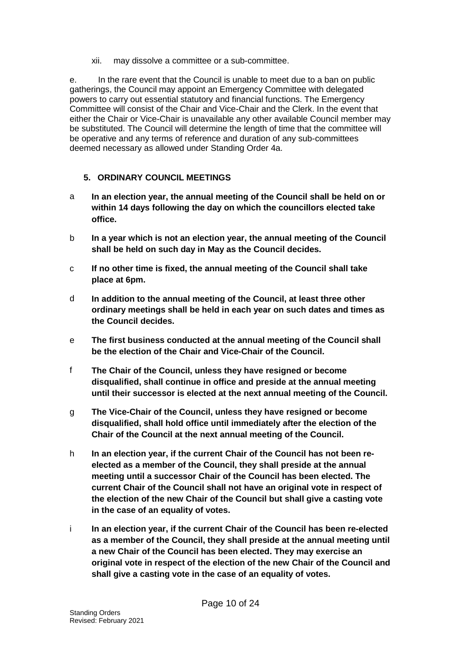xii. may dissolve a committee or a sub-committee.

e. In the rare event that the Council is unable to meet due to a ban on public gatherings, the Council may appoint an Emergency Committee with delegated powers to carry out essential statutory and financial functions. The Emergency Committee will consist of the Chair and Vice-Chair and the Clerk. In the event that either the Chair or Vice-Chair is unavailable any other available Council member may be substituted. The Council will determine the length of time that the committee will be operative and any terms of reference and duration of any sub-committees deemed necessary as allowed under Standing Order 4a.

## <span id="page-9-0"></span>**5. ORDINARY COUNCIL MEETINGS**

- a **In an election year, the annual meeting of the Council shall be held on or within 14 days following the day on which the councillors elected take office.**
- b **In a year which is not an election year, the annual meeting of the Council shall be held on such day in May as the Council decides.**
- c **If no other time is fixed, the annual meeting of the Council shall take place at 6pm.**
- d **In addition to the annual meeting of the Council, at least three other ordinary meetings shall be held in each year on such dates and times as the Council decides.**
- e **The first business conducted at the annual meeting of the Council shall be the election of the Chair and Vice-Chair of the Council.**
- f **The Chair of the Council, unless they have resigned or become disqualified, shall continue in office and preside at the annual meeting until their successor is elected at the next annual meeting of the Council.**
- g **The Vice-Chair of the Council, unless they have resigned or become disqualified, shall hold office until immediately after the election of the Chair of the Council at the next annual meeting of the Council.**
- h **In an election year, if the current Chair of the Council has not been reelected as a member of the Council, they shall preside at the annual meeting until a successor Chair of the Council has been elected. The current Chair of the Council shall not have an original vote in respect of the election of the new Chair of the Council but shall give a casting vote in the case of an equality of votes.**
- i **In an election year, if the current Chair of the Council has been re-elected as a member of the Council, they shall preside at the annual meeting until a new Chair of the Council has been elected. They may exercise an original vote in respect of the election of the new Chair of the Council and shall give a casting vote in the case of an equality of votes.**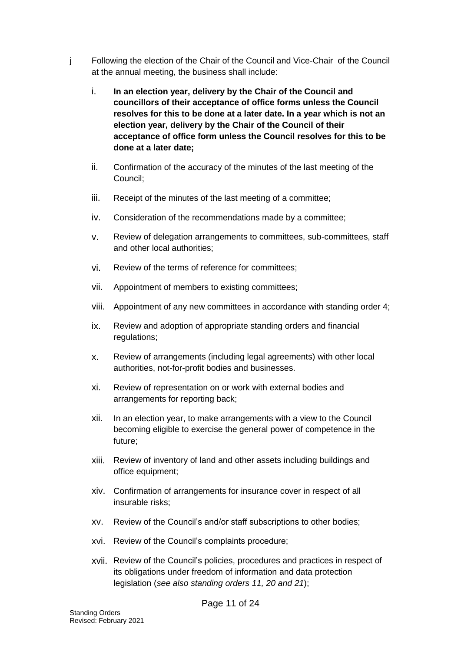- j Following the election of the Chair of the Council and Vice-Chair of the Council at the annual meeting, the business shall include:
	- i. **In an election year, delivery by the Chair of the Council and councillors of their acceptance of office forms unless the Council resolves for this to be done at a later date. In a year which is not an election year, delivery by the Chair of the Council of their acceptance of office form unless the Council resolves for this to be done at a later date;**
	- ii. Confirmation of the accuracy of the minutes of the last meeting of the Council;
	- iii. Receipt of the minutes of the last meeting of a committee;
	- iv. Consideration of the recommendations made by a committee;
	- v. Review of delegation arrangements to committees, sub-committees, staff and other local authorities;
	- vi. Review of the terms of reference for committees;
	- vii. Appointment of members to existing committees;
	- viii. Appointment of any new committees in accordance with standing order 4;
	- ix. Review and adoption of appropriate standing orders and financial regulations;
	- x. Review of arrangements (including legal agreements) with other local authorities, not-for-profit bodies and businesses.
	- xi. Review of representation on or work with external bodies and arrangements for reporting back;
	- xii. In an election year, to make arrangements with a view to the Council becoming eligible to exercise the general power of competence in the future;
	- xiii. Review of inventory of land and other assets including buildings and office equipment;
	- xiv. Confirmation of arrangements for insurance cover in respect of all insurable risks;
	- xv. Review of the Council's and/or staff subscriptions to other bodies;
	- xvi. Review of the Council's complaints procedure;
	- xvii. Review of the Council's policies, procedures and practices in respect of its obligations under freedom of information and data protection legislation (*see also standing orders 11, 20 and 21*);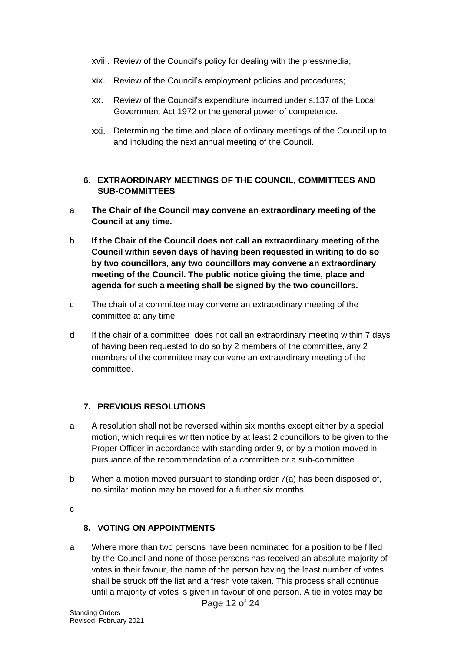- xviii. Review of the Council's policy for dealing with the press/media;
- xix. Review of the Council's employment policies and procedures;
- xx. Review of the Council's expenditure incurred under s.137 of the Local Government Act 1972 or the general power of competence.
- xxi. Determining the time and place of ordinary meetings of the Council up to and including the next annual meeting of the Council.

#### <span id="page-11-0"></span>**6. EXTRAORDINARY MEETINGS OF THE COUNCIL, COMMITTEES AND SUB-COMMITTEES**

- a **The Chair of the Council may convene an extraordinary meeting of the Council at any time.**
- b **If the Chair of the Council does not call an extraordinary meeting of the Council within seven days of having been requested in writing to do so by two councillors, any two councillors may convene an extraordinary meeting of the Council. The public notice giving the time, place and agenda for such a meeting shall be signed by the two councillors.**
- c The chair of a committee may convene an extraordinary meeting of the committee at any time.
- d If the chair of a committee does not call an extraordinary meeting within 7 days of having been requested to do so by 2 members of the committee, any 2 members of the committee may convene an extraordinary meeting of the committee.

## <span id="page-11-1"></span>**7. PREVIOUS RESOLUTIONS**

- a A resolution shall not be reversed within six months except either by a special motion, which requires written notice by at least 2 councillors to be given to the Proper Officer in accordance with standing order 9, or by a motion moved in pursuance of the recommendation of a committee or a sub-committee.
- b When a motion moved pursuant to standing order 7(a) has been disposed of, no similar motion may be moved for a further six months.

c

#### <span id="page-11-2"></span>**8. VOTING ON APPOINTMENTS**

a Where more than two persons have been nominated for a position to be filled by the Council and none of those persons has received an absolute majority of votes in their favour, the name of the person having the least number of votes shall be struck off the list and a fresh vote taken. This process shall continue until a majority of votes is given in favour of one person. A tie in votes may be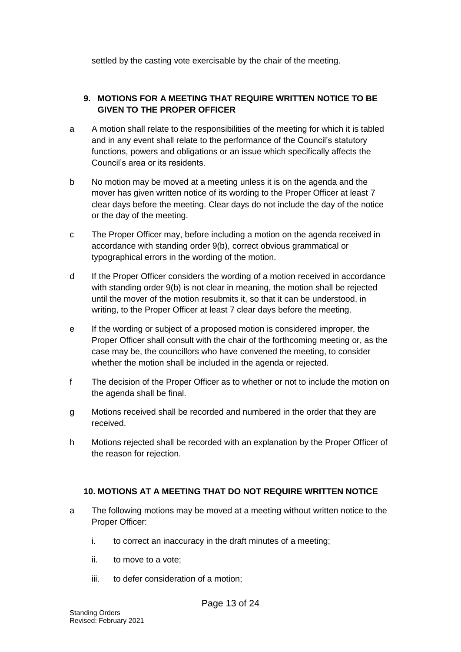settled by the casting vote exercisable by the chair of the meeting.

## <span id="page-12-0"></span>**9. MOTIONS FOR A MEETING THAT REQUIRE WRITTEN NOTICE TO BE GIVEN TO THE PROPER OFFICER**

- a A motion shall relate to the responsibilities of the meeting for which it is tabled and in any event shall relate to the performance of the Council's statutory functions, powers and obligations or an issue which specifically affects the Council's area or its residents.
- b No motion may be moved at a meeting unless it is on the agenda and the mover has given written notice of its wording to the Proper Officer at least 7 clear days before the meeting. Clear days do not include the day of the notice or the day of the meeting.
- c The Proper Officer may, before including a motion on the agenda received in accordance with standing order 9(b), correct obvious grammatical or typographical errors in the wording of the motion.
- d If the Proper Officer considers the wording of a motion received in accordance with standing order 9(b) is not clear in meaning, the motion shall be rejected until the mover of the motion resubmits it, so that it can be understood, in writing, to the Proper Officer at least 7 clear days before the meeting.
- e If the wording or subject of a proposed motion is considered improper, the Proper Officer shall consult with the chair of the forthcoming meeting or, as the case may be, the councillors who have convened the meeting, to consider whether the motion shall be included in the agenda or rejected.
- f The decision of the Proper Officer as to whether or not to include the motion on the agenda shall be final.
- g Motions received shall be recorded and numbered in the order that they are received.
- h Motions rejected shall be recorded with an explanation by the Proper Officer of the reason for rejection.

## <span id="page-12-1"></span>**10. MOTIONS AT A MEETING THAT DO NOT REQUIRE WRITTEN NOTICE**

- a The following motions may be moved at a meeting without written notice to the Proper Officer:
	- i. to correct an inaccuracy in the draft minutes of a meeting;
	- ii. to move to a vote;
	- iii. to defer consideration of a motion;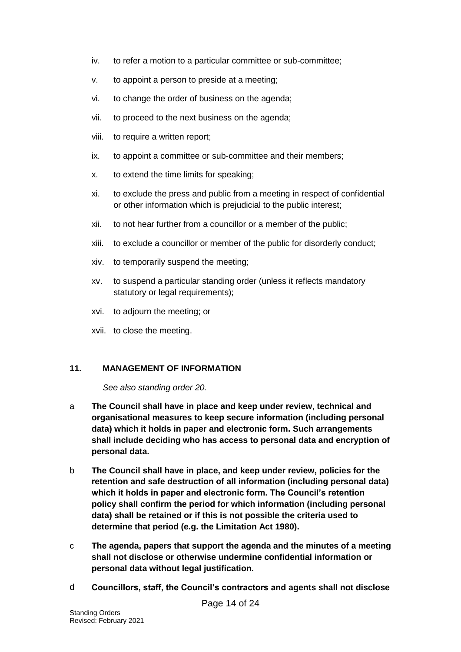- iv. to refer a motion to a particular committee or sub-committee;
- v. to appoint a person to preside at a meeting;
- vi. to change the order of business on the agenda;
- vii. to proceed to the next business on the agenda;
- viii. to require a written report;
- ix. to appoint a committee or sub-committee and their members;
- x. to extend the time limits for speaking;
- xi. to exclude the press and public from a meeting in respect of confidential or other information which is prejudicial to the public interest;
- xii. to not hear further from a councillor or a member of the public;
- xiii. to exclude a councillor or member of the public for disorderly conduct;
- xiv. to temporarily suspend the meeting;
- xv. to suspend a particular standing order (unless it reflects mandatory statutory or legal requirements);
- xvi. to adjourn the meeting; or
- xvii. to close the meeting.

#### <span id="page-13-0"></span>**11. MANAGEMENT OF INFORMATION**

*See also standing order 20.*

- a **The Council shall have in place and keep under review, technical and organisational measures to keep secure information (including personal data) which it holds in paper and electronic form. Such arrangements shall include deciding who has access to personal data and encryption of personal data.**
- b **The Council shall have in place, and keep under review, policies for the retention and safe destruction of all information (including personal data) which it holds in paper and electronic form. The Council's retention policy shall confirm the period for which information (including personal data) shall be retained or if this is not possible the criteria used to determine that period (e.g. the Limitation Act 1980).**
- c **The agenda, papers that support the agenda and the minutes of a meeting shall not disclose or otherwise undermine confidential information or personal data without legal justification.**
- d **Councillors, staff, the Council's contractors and agents shall not disclose**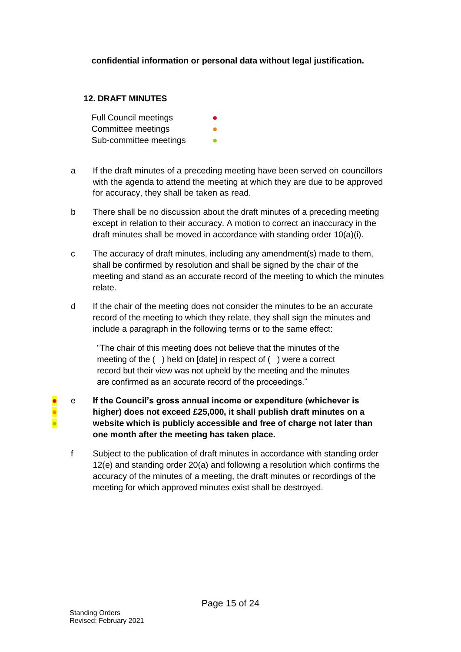### **confidential information or personal data without legal justification.**

#### <span id="page-14-0"></span>**12. DRAFT MINUTES**

**Full Council meetings** Committee meetings Sub-committee meetings

- a If the draft minutes of a preceding meeting have been served on councillors with the agenda to attend the meeting at which they are due to be approved for accuracy, they shall be taken as read.
- b There shall be no discussion about the draft minutes of a preceding meeting except in relation to their accuracy. A motion to correct an inaccuracy in the draft minutes shall be moved in accordance with standing order  $10(a)(i)$ .
- c The accuracy of draft minutes, including any amendment(s) made to them, shall be confirmed by resolution and shall be signed by the chair of the meeting and stand as an accurate record of the meeting to which the minutes relate.
- d If the chair of the meeting does not consider the minutes to be an accurate record of the meeting to which they relate, they shall sign the minutes and include a paragraph in the following terms or to the same effect:

"The chair of this meeting does not believe that the minutes of the meeting of the ( ) held on [date] in respect of ( ) were a correct record but their view was not upheld by the meeting and the minutes are confirmed as an accurate record of the proceedings."

- e **If the Council's gross annual income or expenditure (whichever is higher) does not exceed £25,000, it shall publish draft minutes on a website which is publicly accessible and free of charge not later than one month after the meeting has taken place.**
	- f Subject to the publication of draft minutes in accordance with standing order 12(e) and standing order 20(a) and following a resolution which confirms the accuracy of the minutes of a meeting, the draft minutes or recordings of the meeting for which approved minutes exist shall be destroyed.

● ● ●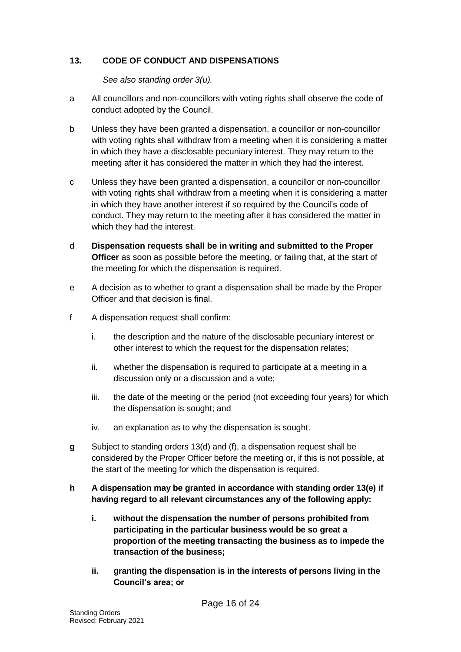### <span id="page-15-0"></span>**13. CODE OF CONDUCT AND DISPENSATIONS**

*See also standing order 3(u).*

- a All councillors and non-councillors with voting rights shall observe the code of conduct adopted by the Council.
- b Unless they have been granted a dispensation, a councillor or non-councillor with voting rights shall withdraw from a meeting when it is considering a matter in which they have a disclosable pecuniary interest. They may return to the meeting after it has considered the matter in which they had the interest.
- c Unless they have been granted a dispensation, a councillor or non-councillor with voting rights shall withdraw from a meeting when it is considering a matter in which they have another interest if so required by the Council's code of conduct. They may return to the meeting after it has considered the matter in which they had the interest.
- d **Dispensation requests shall be in writing and submitted to the Proper Officer** as soon as possible before the meeting, or failing that, at the start of the meeting for which the dispensation is required.
- e A decision as to whether to grant a dispensation shall be made by the Proper Officer and that decision is final.
- f A dispensation request shall confirm:
	- i. the description and the nature of the disclosable pecuniary interest or other interest to which the request for the dispensation relates;
	- ii. whether the dispensation is required to participate at a meeting in a discussion only or a discussion and a vote;
	- iii. the date of the meeting or the period (not exceeding four years) for which the dispensation is sought; and
	- iv. an explanation as to why the dispensation is sought.
- **g** Subject to standing orders 13(d) and (f), a dispensation request shall be considered by the Proper Officer before the meeting or, if this is not possible, at the start of the meeting for which the dispensation is required.
- **h A dispensation may be granted in accordance with standing order 13(e) if having regard to all relevant circumstances any of the following apply:**
	- **i. without the dispensation the number of persons prohibited from participating in the particular business would be so great a proportion of the meeting transacting the business as to impede the transaction of the business;**
	- **ii. granting the dispensation is in the interests of persons living in the Council's area; or**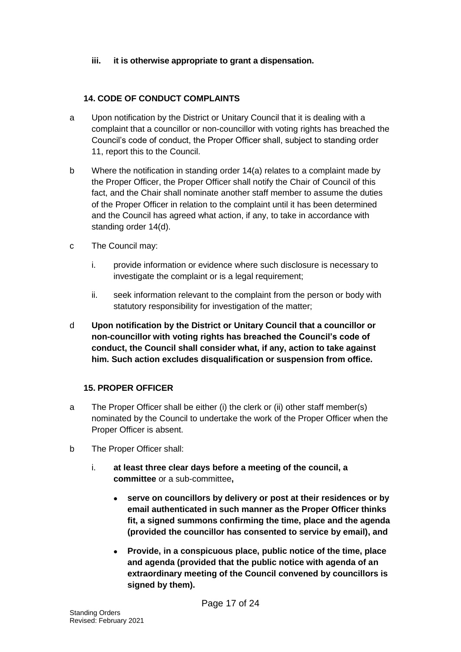### **iii. it is otherwise appropriate to grant a dispensation.**

## <span id="page-16-0"></span>**14. CODE OF CONDUCT COMPLAINTS**

- a Upon notification by the District or Unitary Council that it is dealing with a complaint that a councillor or non-councillor with voting rights has breached the Council's code of conduct, the Proper Officer shall, subject to standing order 11, report this to the Council.
- b Where the notification in standing order 14(a) relates to a complaint made by the Proper Officer, the Proper Officer shall notify the Chair of Council of this fact, and the Chair shall nominate another staff member to assume the duties of the Proper Officer in relation to the complaint until it has been determined and the Council has agreed what action, if any, to take in accordance with standing order 14(d).
- c The Council may:
	- i. provide information or evidence where such disclosure is necessary to investigate the complaint or is a legal requirement;
	- ii. seek information relevant to the complaint from the person or body with statutory responsibility for investigation of the matter;
- d **Upon notification by the District or Unitary Council that a councillor or non-councillor with voting rights has breached the Council's code of conduct, the Council shall consider what, if any, action to take against him. Such action excludes disqualification or suspension from office.**

#### <span id="page-16-1"></span>**15. PROPER OFFICER**

- a The Proper Officer shall be either (i) the clerk or (ii) other staff member(s) nominated by the Council to undertake the work of the Proper Officer when the Proper Officer is absent.
- b The Proper Officer shall:
	- i. **at least three clear days before a meeting of the council, a committee** or a sub-committee**,**
		- **serve on councillors by delivery or post at their residences or by email authenticated in such manner as the Proper Officer thinks fit, a signed summons confirming the time, place and the agenda (provided the councillor has consented to service by email), and**
		- **Provide, in a conspicuous place, public notice of the time, place and agenda (provided that the public notice with agenda of an extraordinary meeting of the Council convened by councillors is signed by them).**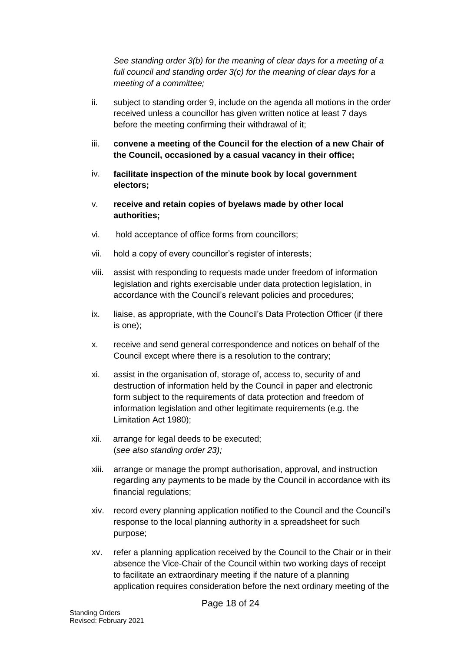*See standing order 3(b) for the meaning of clear days for a meeting of a full council and standing order 3(c) for the meaning of clear days for a meeting of a committee;*

- ii. subject to standing order 9, include on the agenda all motions in the order received unless a councillor has given written notice at least 7 days before the meeting confirming their withdrawal of it;
- iii. **convene a meeting of the Council for the election of a new Chair of the Council, occasioned by a casual vacancy in their office;**
- iv. **facilitate inspection of the minute book by local government electors;**
- v. **receive and retain copies of byelaws made by other local authorities;**
- vi. hold acceptance of office forms from councillors;
- vii. hold a copy of every councillor's register of interests;
- viii. assist with responding to requests made under freedom of information legislation and rights exercisable under data protection legislation, in accordance with the Council's relevant policies and procedures;
- ix. liaise, as appropriate, with the Council's Data Protection Officer (if there is one);
- x. receive and send general correspondence and notices on behalf of the Council except where there is a resolution to the contrary;
- xi. assist in the organisation of, storage of, access to, security of and destruction of information held by the Council in paper and electronic form subject to the requirements of data protection and freedom of information legislation and other legitimate requirements (e.g. the Limitation Act 1980);
- xii. arrange for legal deeds to be executed; (*see also standing order 23);*
- xiii. arrange or manage the prompt authorisation, approval, and instruction regarding any payments to be made by the Council in accordance with its financial regulations;
- xiv. record every planning application notified to the Council and the Council's response to the local planning authority in a spreadsheet for such purpose;
- xv. refer a planning application received by the Council to the Chair or in their absence the Vice-Chair of the Council within two working days of receipt to facilitate an extraordinary meeting if the nature of a planning application requires consideration before the next ordinary meeting of the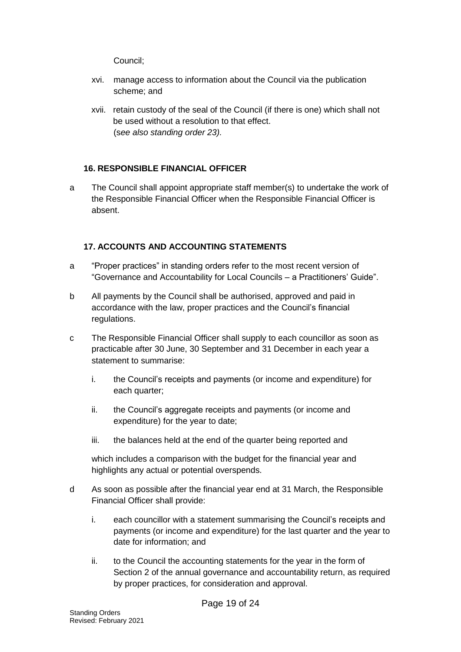Council;

- xvi. manage access to information about the Council via the publication scheme; and
- xvii. retain custody of the seal of the Council (if there is one) which shall not be used without a resolution to that effect. (s*ee also standing order 23).*

# <span id="page-18-0"></span>**16. RESPONSIBLE FINANCIAL OFFICER**

a The Council shall appoint appropriate staff member(s) to undertake the work of the Responsible Financial Officer when the Responsible Financial Officer is absent.

# <span id="page-18-1"></span>**17. ACCOUNTS AND ACCOUNTING STATEMENTS**

- a "Proper practices" in standing orders refer to the most recent version of "Governance and Accountability for Local Councils – a Practitioners' Guide".
- b All payments by the Council shall be authorised, approved and paid in accordance with the law, proper practices and the Council's financial regulations.
- c The Responsible Financial Officer shall supply to each councillor as soon as practicable after 30 June, 30 September and 31 December in each year a statement to summarise:
	- i. the Council's receipts and payments (or income and expenditure) for each quarter;
	- ii. the Council's aggregate receipts and payments (or income and expenditure) for the year to date;
	- iii. the balances held at the end of the quarter being reported and

which includes a comparison with the budget for the financial year and highlights any actual or potential overspends.

- d As soon as possible after the financial year end at 31 March, the Responsible Financial Officer shall provide:
	- i. each councillor with a statement summarising the Council's receipts and payments (or income and expenditure) for the last quarter and the year to date for information; and
	- ii. to the Council the accounting statements for the year in the form of Section 2 of the annual governance and accountability return, as required by proper practices, for consideration and approval.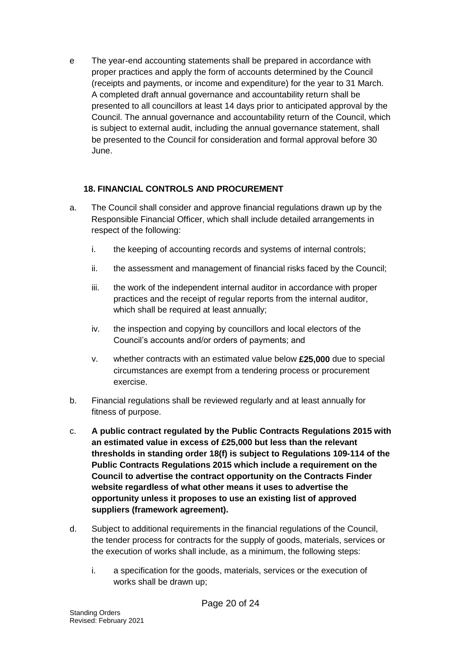e The year-end accounting statements shall be prepared in accordance with proper practices and apply the form of accounts determined by the Council (receipts and payments, or income and expenditure) for the year to 31 March. A completed draft annual governance and accountability return shall be presented to all councillors at least 14 days prior to anticipated approval by the Council. The annual governance and accountability return of the Council, which is subject to external audit, including the annual governance statement, shall be presented to the Council for consideration and formal approval before 30 June.

# <span id="page-19-0"></span>**18. FINANCIAL CONTROLS AND PROCUREMENT**

- a. The Council shall consider and approve financial regulations drawn up by the Responsible Financial Officer, which shall include detailed arrangements in respect of the following:
	- i. the keeping of accounting records and systems of internal controls;
	- ii. the assessment and management of financial risks faced by the Council;
	- iii. the work of the independent internal auditor in accordance with proper practices and the receipt of regular reports from the internal auditor, which shall be required at least annually;
	- iv. the inspection and copying by councillors and local electors of the Council's accounts and/or orders of payments; and
	- v. whether contracts with an estimated value below **£25,000** due to special circumstances are exempt from a tendering process or procurement exercise.
- b. Financial regulations shall be reviewed regularly and at least annually for fitness of purpose.
- c. **A public contract regulated by the Public Contracts Regulations 2015 with an estimated value in excess of £25,000 but less than the relevant thresholds in standing order 18(f) is subject to Regulations 109-114 of the Public Contracts Regulations 2015 which include a requirement on the Council to advertise the contract opportunity on the Contracts Finder website regardless of what other means it uses to advertise the opportunity unless it proposes to use an existing list of approved suppliers (framework agreement).**
- d. Subject to additional requirements in the financial regulations of the Council, the tender process for contracts for the supply of goods, materials, services or the execution of works shall include, as a minimum, the following steps:
	- i. a specification for the goods, materials, services or the execution of works shall be drawn up;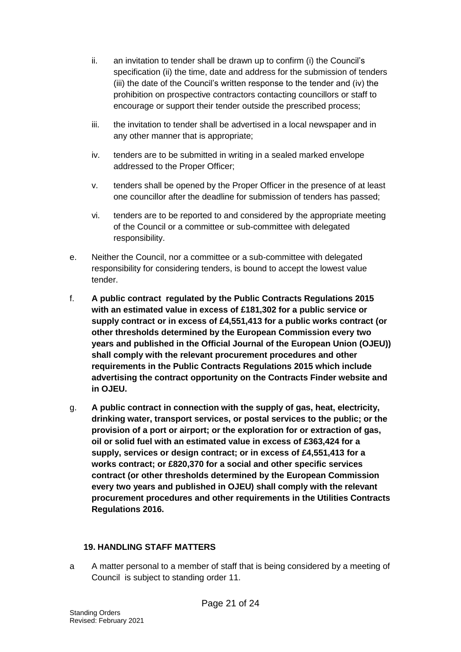- ii. an invitation to tender shall be drawn up to confirm (i) the Council's specification (ii) the time, date and address for the submission of tenders (iii) the date of the Council's written response to the tender and (iv) the prohibition on prospective contractors contacting councillors or staff to encourage or support their tender outside the prescribed process;
- iii. the invitation to tender shall be advertised in a local newspaper and in any other manner that is appropriate;
- iv. tenders are to be submitted in writing in a sealed marked envelope addressed to the Proper Officer;
- v. tenders shall be opened by the Proper Officer in the presence of at least one councillor after the deadline for submission of tenders has passed;
- vi. tenders are to be reported to and considered by the appropriate meeting of the Council or a committee or sub-committee with delegated responsibility.
- e. Neither the Council, nor a committee or a sub-committee with delegated responsibility for considering tenders, is bound to accept the lowest value tender.
- f. **A public contract regulated by the Public Contracts Regulations 2015 with an estimated value in excess of £181,302 for a public service or supply contract or in excess of £4,551,413 for a public works contract (or other thresholds determined by the European Commission every two years and published in the Official Journal of the European Union (OJEU)) shall comply with the relevant procurement procedures and other requirements in the Public Contracts Regulations 2015 which include advertising the contract opportunity on the Contracts Finder website and in OJEU.**
- g. **A public contract in connection with the supply of gas, heat, electricity, drinking water, transport services, or postal services to the public; or the provision of a port or airport; or the exploration for or extraction of gas, oil or solid fuel with an estimated value in excess of £363,424 for a supply, services or design contract; or in excess of £4,551,413 for a works contract; or £820,370 for a social and other specific services contract (or other thresholds determined by the European Commission every two years and published in OJEU) shall comply with the relevant procurement procedures and other requirements in the Utilities Contracts Regulations 2016.**

#### <span id="page-20-0"></span>**19. HANDLING STAFF MATTERS**

a A matter personal to a member of staff that is being considered by a meeting of Council is subject to standing order 11.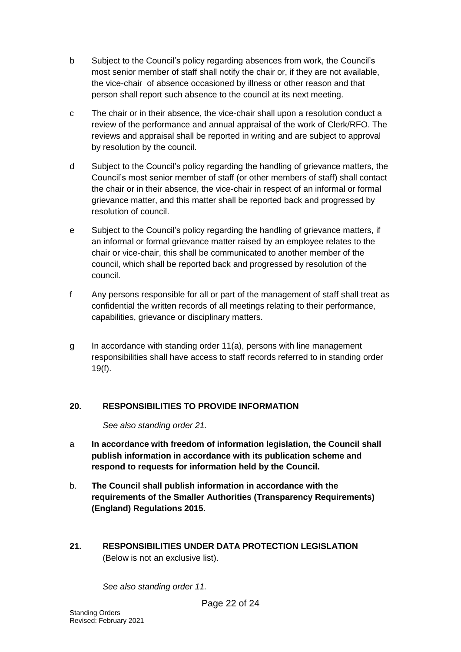- b Subject to the Council's policy regarding absences from work, the Council's most senior member of staff shall notify the chair or, if they are not available, the vice-chair of absence occasioned by illness or other reason and that person shall report such absence to the council at its next meeting.
- c The chair or in their absence, the vice-chair shall upon a resolution conduct a review of the performance and annual appraisal of the work of Clerk/RFO. The reviews and appraisal shall be reported in writing and are subject to approval by resolution by the council.
- d Subject to the Council's policy regarding the handling of grievance matters, the Council's most senior member of staff (or other members of staff) shall contact the chair or in their absence, the vice-chair in respect of an informal or formal grievance matter, and this matter shall be reported back and progressed by resolution of council.
- e Subject to the Council's policy regarding the handling of grievance matters, if an informal or formal grievance matter raised by an employee relates to the chair or vice-chair, this shall be communicated to another member of the council, which shall be reported back and progressed by resolution of the council.
- f Any persons responsible for all or part of the management of staff shall treat as confidential the written records of all meetings relating to their performance, capabilities, grievance or disciplinary matters.
- g In accordance with standing order 11(a), persons with line management responsibilities shall have access to staff records referred to in standing order 19(f).

## <span id="page-21-0"></span>**20. RESPONSIBILITIES TO PROVIDE INFORMATION**

*See also standing order 21.*

- a **In accordance with freedom of information legislation, the Council shall publish information in accordance with its publication scheme and respond to requests for information held by the Council.**
- b. **The Council shall publish information in accordance with the requirements of the Smaller Authorities (Transparency Requirements) (England) Regulations 2015.**
- <span id="page-21-1"></span>**21. RESPONSIBILITIES UNDER DATA PROTECTION LEGISLATION**  (Below is not an exclusive list).

*See also standing order 11.*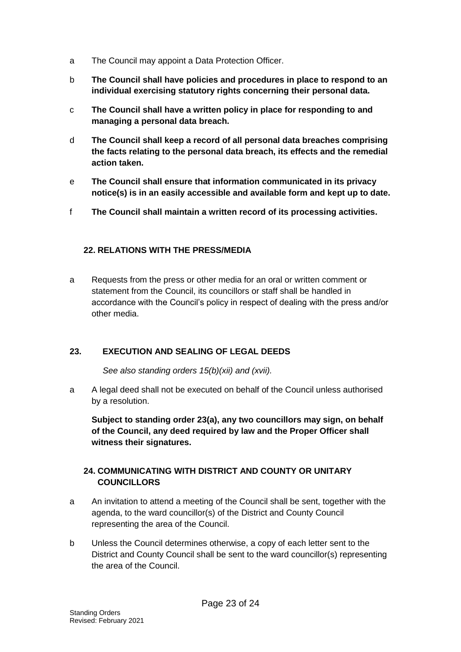- a The Council may appoint a Data Protection Officer.
- b **The Council shall have policies and procedures in place to respond to an individual exercising statutory rights concerning their personal data.**
- c **The Council shall have a written policy in place for responding to and managing a personal data breach.**
- d **The Council shall keep a record of all personal data breaches comprising the facts relating to the personal data breach, its effects and the remedial action taken.**
- e **The Council shall ensure that information communicated in its privacy notice(s) is in an easily accessible and available form and kept up to date.**
- f **The Council shall maintain a written record of its processing activities.**

# <span id="page-22-0"></span>**22. RELATIONS WITH THE PRESS/MEDIA**

a Requests from the press or other media for an oral or written comment or statement from the Council, its councillors or staff shall be handled in accordance with the Council's policy in respect of dealing with the press and/or other media.

# <span id="page-22-1"></span>**23. EXECUTION AND SEALING OF LEGAL DEEDS**

*See also standing orders 15(b)(xii) and (xvii).*

a A legal deed shall not be executed on behalf of the Council unless authorised by a resolution.

**Subject to standing order 23(a), any two councillors may sign, on behalf of the Council, any deed required by law and the Proper Officer shall witness their signatures.**

# <span id="page-22-2"></span>**24. COMMUNICATING WITH DISTRICT AND COUNTY OR UNITARY COUNCILLORS**

- a An invitation to attend a meeting of the Council shall be sent, together with the agenda, to the ward councillor(s) of the District and County Council representing the area of the Council.
- b Unless the Council determines otherwise, a copy of each letter sent to the District and County Council shall be sent to the ward councillor(s) representing the area of the Council.